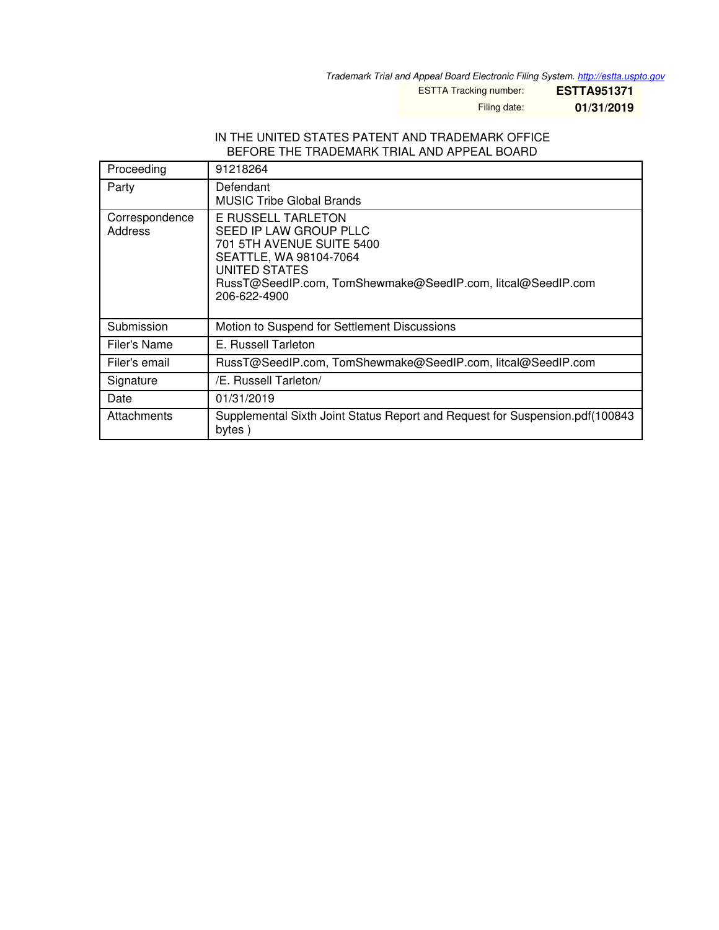*Trademark Trial and Appeal Board Electronic Filing System. <http://estta.uspto.gov>*

ESTTA Tracking number: **ESTTA951371**

Filing date: **01/31/2019**

#### IN THE UNITED STATES PATENT AND TRADEMARK OFFICE BEFORE THE TRADEMARK TRIAL AND APPEAL BOARD

| Proceeding                | 91218264                                                                                                                                                                                            |
|---------------------------|-----------------------------------------------------------------------------------------------------------------------------------------------------------------------------------------------------|
| Party                     | Defendant<br><b>MUSIC Tribe Global Brands</b>                                                                                                                                                       |
| Correspondence<br>Address | E RUSSELL TARLETON<br>SEED IP LAW GROUP PLLC<br>701 5TH AVENUE SUITE 5400<br>SEATTLE, WA 98104-7064<br>UNITED STATES<br>RussT@SeedIP.com, TomShewmake@SeedIP.com, litcal@SeedIP.com<br>206-622-4900 |
| Submission                | Motion to Suspend for Settlement Discussions                                                                                                                                                        |
| Filer's Name              | E. Russell Tarleton                                                                                                                                                                                 |
| Filer's email             | RussT@SeedIP.com, TomShewmake@SeedIP.com, litcal@SeedIP.com                                                                                                                                         |
| Signature                 | /E. Russell Tarleton/                                                                                                                                                                               |
| Date                      | 01/31/2019                                                                                                                                                                                          |
| Attachments               | Supplemental Sixth Joint Status Report and Request for Suspension.pdf (100843)<br>bytes)                                                                                                            |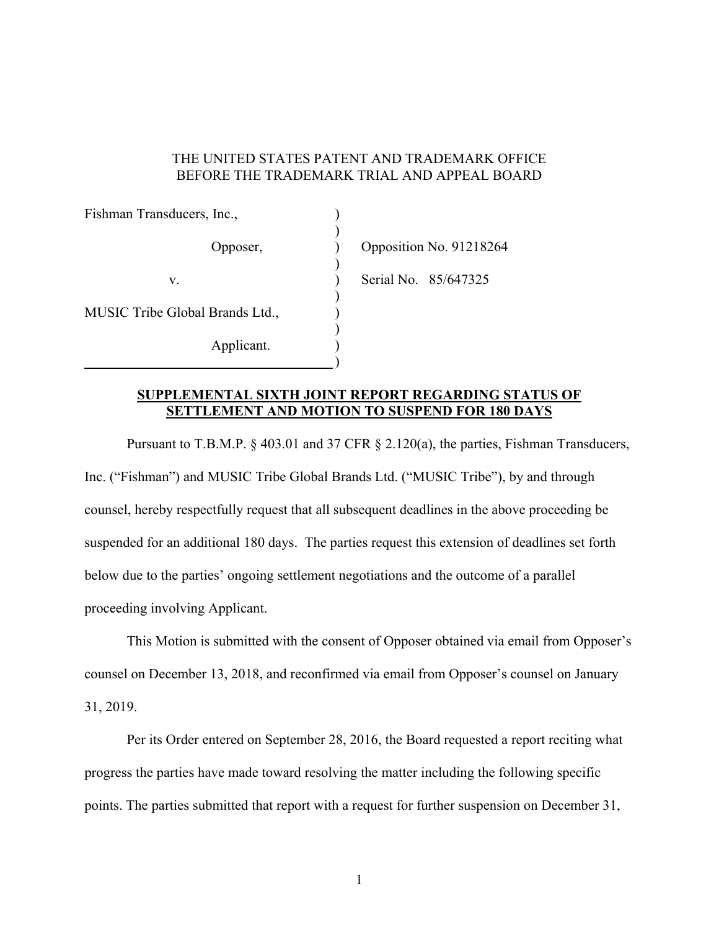### THE UNITED STATES PATENT AND TRADEMARK OFFICE BEFORE THE TRADEMARK TRIAL AND APPEAL BOARD

| Fishman Transducers, Inc.,      |                         |
|---------------------------------|-------------------------|
| Opposer,                        | Opposition No. 91218264 |
| V.                              | Serial No. 85/647325    |
| MUSIC Tribe Global Brands Ltd., |                         |
| Applicant.                      |                         |

## **SUPPLEMENTAL SIXTH JOINT REPORT REGARDING STATUS OF SETTLEMENT AND MOTION TO SUSPEND FOR 180 DAYS**

 Pursuant to T.B.M.P. § 403.01 and 37 CFR § 2.120(a), the parties, Fishman Transducers, Inc. ("Fishman") and MUSIC Tribe Global Brands Ltd. ("MUSIC Tribe"), by and through counsel, hereby respectfully request that all subsequent deadlines in the above proceeding be suspended for an additional 180 days. The parties request this extension of deadlines set forth below due to the parties' ongoing settlement negotiations and the outcome of a parallel proceeding involving Applicant.

 This Motion is submitted with the consent of Opposer obtained via email from Opposer's counsel on December 13, 2018, and reconfirmed via email from Opposer's counsel on January 31, 2019.

 Per its Order entered on September 28, 2016, the Board requested a report reciting what progress the parties have made toward resolving the matter including the following specific points. The parties submitted that report with a request for further suspension on December 31,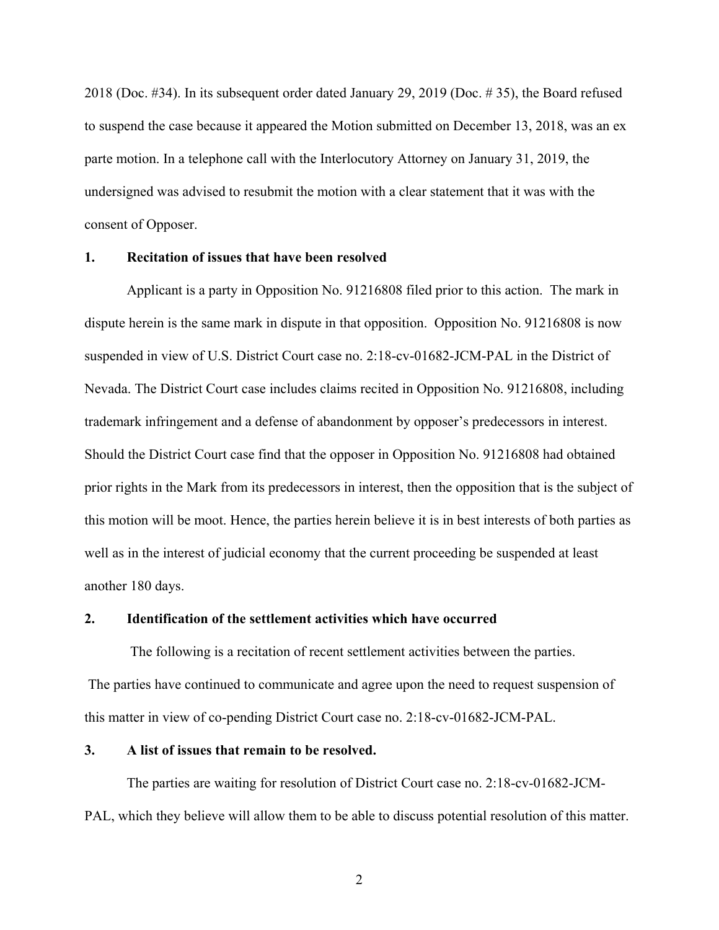2018 (Doc. #34). In its subsequent order dated January 29, 2019 (Doc. # 35), the Board refused to suspend the case because it appeared the Motion submitted on December 13, 2018, was an ex parte motion. In a telephone call with the Interlocutory Attorney on January 31, 2019, the undersigned was advised to resubmit the motion with a clear statement that it was with the consent of Opposer.

## **1. Recitation of issues that have been resolved**

Applicant is a party in Opposition No. 91216808 filed prior to this action. The mark in dispute herein is the same mark in dispute in that opposition. Opposition No. 91216808 is now suspended in view of U.S. District Court case no. 2:18-cv-01682-JCM-PAL in the District of Nevada. The District Court case includes claims recited in Opposition No. 91216808, including trademark infringement and a defense of abandonment by opposer's predecessors in interest. Should the District Court case find that the opposer in Opposition No. 91216808 had obtained prior rights in the Mark from its predecessors in interest, then the opposition that is the subject of this motion will be moot. Hence, the parties herein believe it is in best interests of both parties as well as in the interest of judicial economy that the current proceeding be suspended at least another 180 days.

#### **2. Identification of the settlement activities which have occurred**

 The following is a recitation of recent settlement activities between the parties. The parties have continued to communicate and agree upon the need to request suspension of this matter in view of co-pending District Court case no. 2:18-cv-01682-JCM-PAL.

### **3. A list of issues that remain to be resolved.**

 The parties are waiting for resolution of District Court case no. 2:18-cv-01682-JCM-PAL, which they believe will allow them to be able to discuss potential resolution of this matter.

2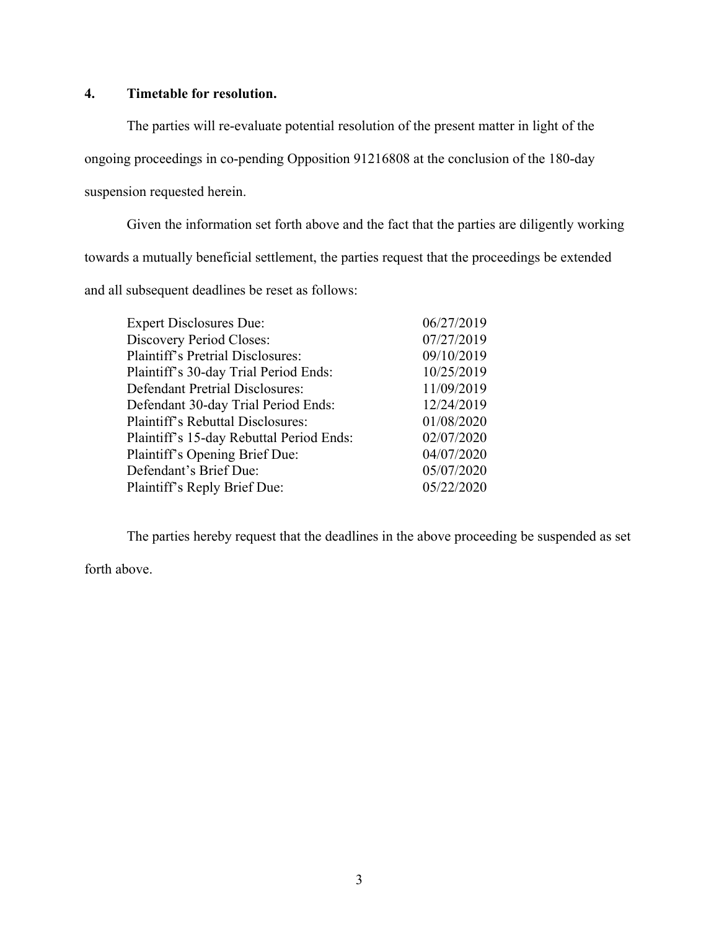# **4. Timetable for resolution.**

 The parties will re-evaluate potential resolution of the present matter in light of the ongoing proceedings in co-pending Opposition 91216808 at the conclusion of the 180-day suspension requested herein.

 Given the information set forth above and the fact that the parties are diligently working towards a mutually beneficial settlement, the parties request that the proceedings be extended and all subsequent deadlines be reset as follows:

| <b>Expert Disclosures Due:</b>           | 06/27/2019 |
|------------------------------------------|------------|
| <b>Discovery Period Closes:</b>          | 07/27/2019 |
| <b>Plaintiff's Pretrial Disclosures:</b> | 09/10/2019 |
| Plaintiff's 30-day Trial Period Ends:    | 10/25/2019 |
| <b>Defendant Pretrial Disclosures:</b>   | 11/09/2019 |
| Defendant 30-day Trial Period Ends:      | 12/24/2019 |
| Plaintiff's Rebuttal Disclosures:        | 01/08/2020 |
| Plaintiff's 15-day Rebuttal Period Ends: | 02/07/2020 |
| Plaintiff's Opening Brief Due:           | 04/07/2020 |
| Defendant's Brief Due:                   | 05/07/2020 |
| Plaintiff's Reply Brief Due:             | 05/22/2020 |

The parties hereby request that the deadlines in the above proceeding be suspended as set

forth above.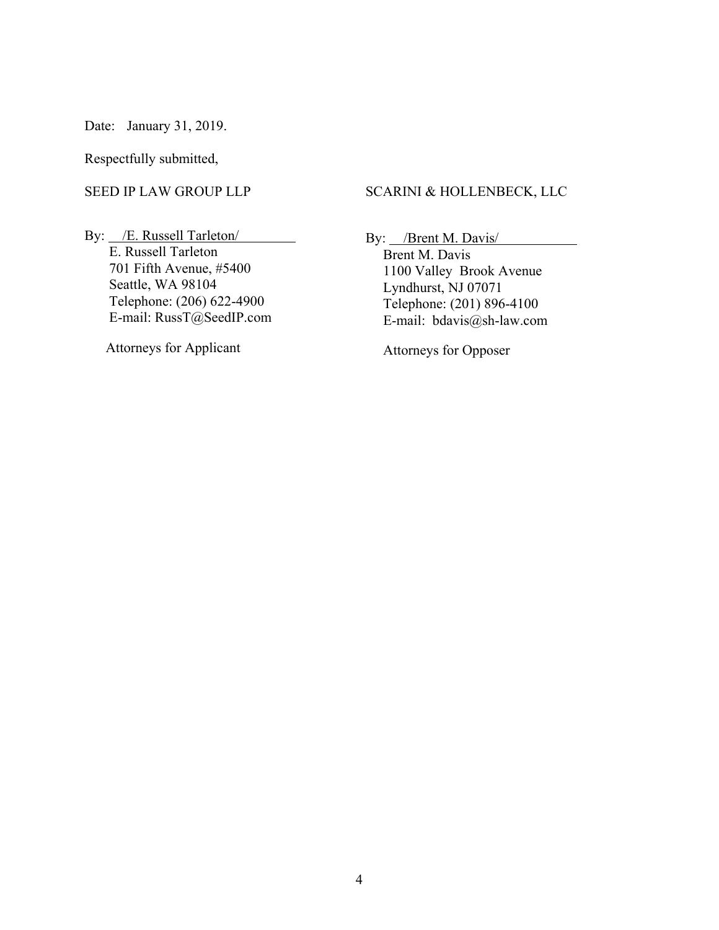Date: January 31, 2019.

Respectfully submitted,

#### SEED IP LAW GROUP LLP

By: /E. Russell Tarleton/ E. Russell Tarleton 701 Fifth Avenue, #5400 Seattle, WA 98104 Telephone: (206) 622-4900 E-mail: RussT@SeedIP.com

Attorneys for Applicant

#### SCARINI & HOLLENBECK, LLC

By: /Brent M. Davis/

 Brent M. Davis 1100 Valley Brook Avenue Lyndhurst, NJ 07071 Telephone: (201) 896-4100 E-mail: bdavis@sh-law.com

Attorneys for Opposer